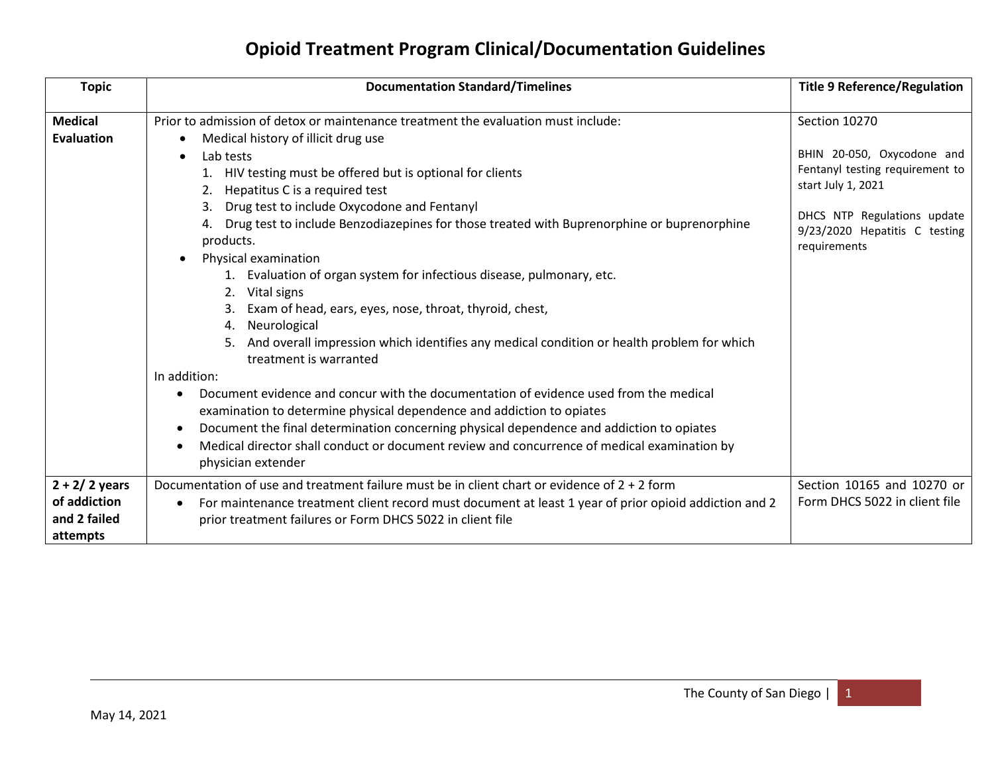| <b>Topic</b>                                                | <b>Documentation Standard/Timelines</b>                                                                                                                                                                                                                                                                                                                                                                                                                                                                                                                                                                                                                                                                                                                       | <b>Title 9 Reference/Regulation</b>                                                                                                                                                  |
|-------------------------------------------------------------|---------------------------------------------------------------------------------------------------------------------------------------------------------------------------------------------------------------------------------------------------------------------------------------------------------------------------------------------------------------------------------------------------------------------------------------------------------------------------------------------------------------------------------------------------------------------------------------------------------------------------------------------------------------------------------------------------------------------------------------------------------------|--------------------------------------------------------------------------------------------------------------------------------------------------------------------------------------|
| <b>Medical</b><br><b>Evaluation</b>                         | Prior to admission of detox or maintenance treatment the evaluation must include:<br>Medical history of illicit drug use<br>Lab tests<br>$\bullet$<br>1. HIV testing must be offered but is optional for clients<br>Hepatitus C is a required test<br>2.<br>Drug test to include Oxycodone and Fentanyl<br>Drug test to include Benzodiazepines for those treated with Buprenorphine or buprenorphine<br>products.<br>Physical examination<br>Evaluation of organ system for infectious disease, pulmonary, etc.<br>Vital signs<br>2.<br>Exam of head, ears, eyes, nose, throat, thyroid, chest,<br>Neurological<br>4.<br>And overall impression which identifies any medical condition or health problem for which<br>treatment is warranted<br>In addition: | Section 10270<br>BHIN 20-050, Oxycodone and<br>Fentanyl testing requirement to<br>start July 1, 2021<br>DHCS NTP Regulations update<br>9/23/2020 Hepatitis C testing<br>requirements |
|                                                             | Document evidence and concur with the documentation of evidence used from the medical<br>$\bullet$<br>examination to determine physical dependence and addiction to opiates<br>Document the final determination concerning physical dependence and addiction to opiates<br>$\bullet$<br>Medical director shall conduct or document review and concurrence of medical examination by<br>physician extender                                                                                                                                                                                                                                                                                                                                                     |                                                                                                                                                                                      |
| $2 + 2/2$ years<br>of addiction<br>and 2 failed<br>attempts | Documentation of use and treatment failure must be in client chart or evidence of 2 + 2 form<br>For maintenance treatment client record must document at least 1 year of prior opioid addiction and 2<br>٠<br>prior treatment failures or Form DHCS 5022 in client file                                                                                                                                                                                                                                                                                                                                                                                                                                                                                       | Section 10165 and 10270 or<br>Form DHCS 5022 in client file                                                                                                                          |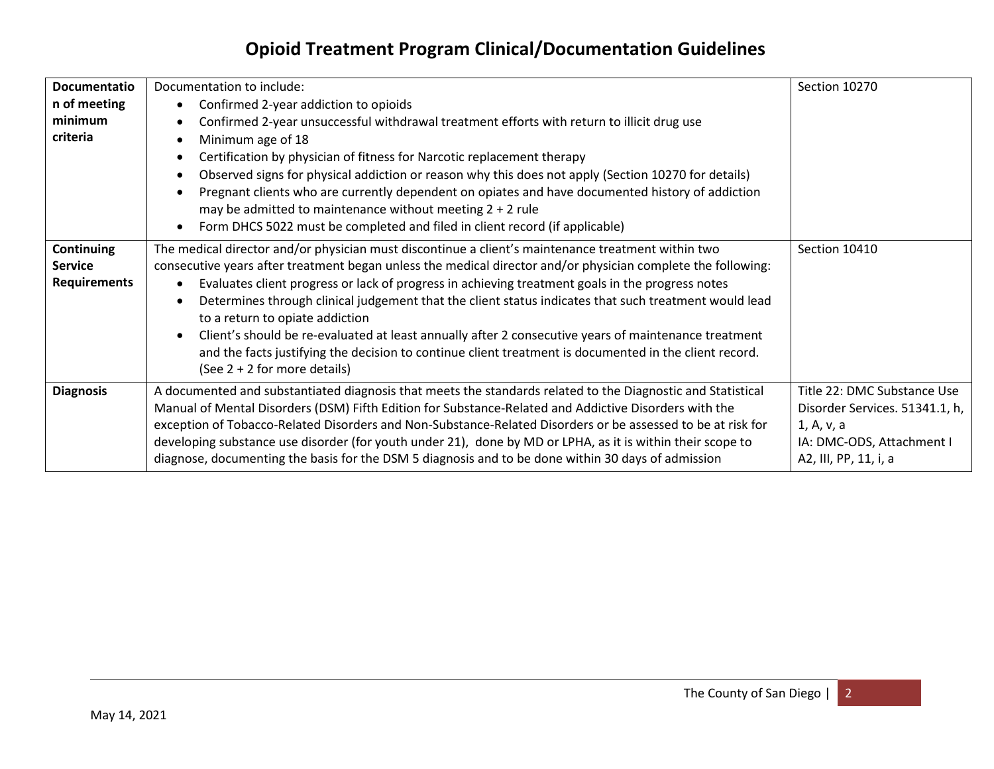| <b>Documentatio</b><br>n of meeting<br>minimum<br>criteria | Documentation to include:<br>Confirmed 2-year addiction to opioids<br>Confirmed 2-year unsuccessful withdrawal treatment efforts with return to illicit drug use<br>Minimum age of 18<br>Certification by physician of fitness for Narcotic replacement therapy<br>Observed signs for physical addiction or reason why this does not apply (Section 10270 for details)<br>Pregnant clients who are currently dependent on opiates and have documented history of addiction<br>may be admitted to maintenance without meeting $2 + 2$ rule<br>Form DHCS 5022 must be completed and filed in client record (if applicable)                                                                                               | Section 10270                                                                                                                     |
|------------------------------------------------------------|------------------------------------------------------------------------------------------------------------------------------------------------------------------------------------------------------------------------------------------------------------------------------------------------------------------------------------------------------------------------------------------------------------------------------------------------------------------------------------------------------------------------------------------------------------------------------------------------------------------------------------------------------------------------------------------------------------------------|-----------------------------------------------------------------------------------------------------------------------------------|
| Continuing<br><b>Service</b><br><b>Requirements</b>        | The medical director and/or physician must discontinue a client's maintenance treatment within two<br>consecutive years after treatment began unless the medical director and/or physician complete the following:<br>Evaluates client progress or lack of progress in achieving treatment goals in the progress notes<br>Determines through clinical judgement that the client status indicates that such treatment would lead<br>to a return to opiate addiction<br>Client's should be re-evaluated at least annually after 2 consecutive years of maintenance treatment<br>and the facts justifying the decision to continue client treatment is documented in the client record.<br>(See $2 + 2$ for more details) | Section 10410                                                                                                                     |
| <b>Diagnosis</b>                                           | A documented and substantiated diagnosis that meets the standards related to the Diagnostic and Statistical<br>Manual of Mental Disorders (DSM) Fifth Edition for Substance-Related and Addictive Disorders with the<br>exception of Tobacco-Related Disorders and Non-Substance-Related Disorders or be assessed to be at risk for<br>developing substance use disorder (for youth under 21), done by MD or LPHA, as it is within their scope to<br>diagnose, documenting the basis for the DSM 5 diagnosis and to be done within 30 days of admission                                                                                                                                                                | Title 22: DMC Substance Use<br>Disorder Services. 51341.1, h,<br>1, A, v, a<br>IA: DMC-ODS, Attachment I<br>A2, III, PP, 11, i, a |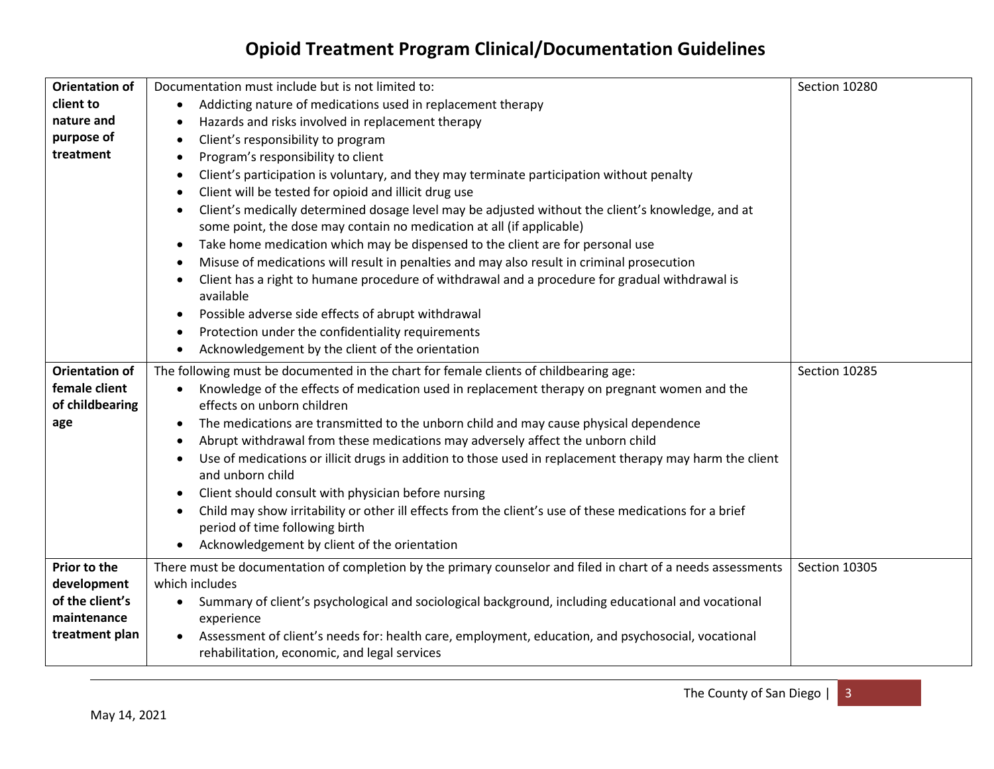| <b>Orientation of</b> | Documentation must include but is not limited to:                                                                    | Section 10280 |
|-----------------------|----------------------------------------------------------------------------------------------------------------------|---------------|
| client to             | Addicting nature of medications used in replacement therapy                                                          |               |
| nature and            | Hazards and risks involved in replacement therapy<br>$\bullet$                                                       |               |
| purpose of            | Client's responsibility to program<br>$\bullet$                                                                      |               |
| treatment             | Program's responsibility to client<br>$\bullet$                                                                      |               |
|                       | Client's participation is voluntary, and they may terminate participation without penalty                            |               |
|                       | Client will be tested for opioid and illicit drug use<br>$\bullet$                                                   |               |
|                       | Client's medically determined dosage level may be adjusted without the client's knowledge, and at<br>$\bullet$       |               |
|                       | some point, the dose may contain no medication at all (if applicable)                                                |               |
|                       | Take home medication which may be dispensed to the client are for personal use<br>$\bullet$                          |               |
|                       | Misuse of medications will result in penalties and may also result in criminal prosecution                           |               |
|                       | Client has a right to humane procedure of withdrawal and a procedure for gradual withdrawal is<br>$\bullet$          |               |
|                       | available                                                                                                            |               |
|                       | Possible adverse side effects of abrupt withdrawal<br>$\bullet$                                                      |               |
|                       | Protection under the confidentiality requirements<br>$\bullet$                                                       |               |
|                       | Acknowledgement by the client of the orientation<br>$\bullet$                                                        |               |
| <b>Orientation of</b> | The following must be documented in the chart for female clients of childbearing age:                                | Section 10285 |
| female client         | Knowledge of the effects of medication used in replacement therapy on pregnant women and the<br>$\bullet$            |               |
| of childbearing       | effects on unborn children                                                                                           |               |
| age                   | The medications are transmitted to the unborn child and may cause physical dependence<br>$\bullet$                   |               |
|                       | Abrupt withdrawal from these medications may adversely affect the unborn child                                       |               |
|                       | Use of medications or illicit drugs in addition to those used in replacement therapy may harm the client             |               |
|                       | and unborn child                                                                                                     |               |
|                       | Client should consult with physician before nursing<br>$\bullet$                                                     |               |
|                       | Child may show irritability or other ill effects from the client's use of these medications for a brief<br>$\bullet$ |               |
|                       | period of time following birth                                                                                       |               |
|                       | Acknowledgement by client of the orientation                                                                         |               |
| Prior to the          | There must be documentation of completion by the primary counselor and filed in chart of a needs assessments         | Section 10305 |
| development           | which includes                                                                                                       |               |
| of the client's       | Summary of client's psychological and sociological background, including educational and vocational<br>$\bullet$     |               |
| maintenance           | experience                                                                                                           |               |
| treatment plan        | Assessment of client's needs for: health care, employment, education, and psychosocial, vocational<br>$\bullet$      |               |
|                       | rehabilitation, economic, and legal services                                                                         |               |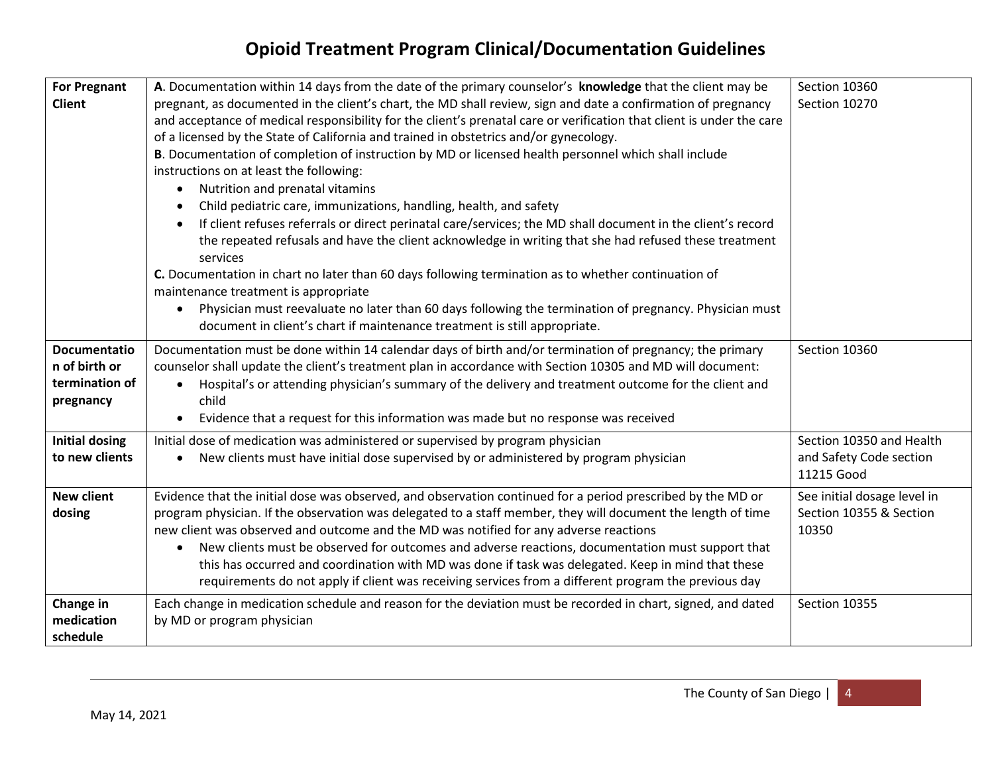| <b>For Pregnant</b>   | A. Documentation within 14 days from the date of the primary counselor's knowledge that the client may be                                                                           | Section 10360               |
|-----------------------|-------------------------------------------------------------------------------------------------------------------------------------------------------------------------------------|-----------------------------|
| <b>Client</b>         | pregnant, as documented in the client's chart, the MD shall review, sign and date a confirmation of pregnancy                                                                       | Section 10270               |
|                       | and acceptance of medical responsibility for the client's prenatal care or verification that client is under the care                                                               |                             |
|                       | of a licensed by the State of California and trained in obstetrics and/or gynecology.                                                                                               |                             |
|                       | B. Documentation of completion of instruction by MD or licensed health personnel which shall include                                                                                |                             |
|                       | instructions on at least the following:                                                                                                                                             |                             |
|                       | Nutrition and prenatal vitamins<br>$\bullet$                                                                                                                                        |                             |
|                       | Child pediatric care, immunizations, handling, health, and safety                                                                                                                   |                             |
|                       | If client refuses referrals or direct perinatal care/services; the MD shall document in the client's record                                                                         |                             |
|                       | the repeated refusals and have the client acknowledge in writing that she had refused these treatment                                                                               |                             |
|                       | services                                                                                                                                                                            |                             |
|                       | C. Documentation in chart no later than 60 days following termination as to whether continuation of                                                                                 |                             |
|                       | maintenance treatment is appropriate                                                                                                                                                |                             |
|                       | Physician must reevaluate no later than 60 days following the termination of pregnancy. Physician must<br>document in client's chart if maintenance treatment is still appropriate. |                             |
|                       |                                                                                                                                                                                     |                             |
| <b>Documentatio</b>   | Documentation must be done within 14 calendar days of birth and/or termination of pregnancy; the primary                                                                            | Section 10360               |
| n of birth or         | counselor shall update the client's treatment plan in accordance with Section 10305 and MD will document:                                                                           |                             |
| termination of        | Hospital's or attending physician's summary of the delivery and treatment outcome for the client and                                                                                |                             |
| pregnancy             | child                                                                                                                                                                               |                             |
|                       | Evidence that a request for this information was made but no response was received                                                                                                  |                             |
| <b>Initial dosing</b> | Initial dose of medication was administered or supervised by program physician                                                                                                      | Section 10350 and Health    |
| to new clients        | New clients must have initial dose supervised by or administered by program physician                                                                                               | and Safety Code section     |
|                       |                                                                                                                                                                                     | 11215 Good                  |
| <b>New client</b>     | Evidence that the initial dose was observed, and observation continued for a period prescribed by the MD or                                                                         | See initial dosage level in |
| dosing                | program physician. If the observation was delegated to a staff member, they will document the length of time                                                                        | Section 10355 & Section     |
|                       | new client was observed and outcome and the MD was notified for any adverse reactions                                                                                               | 10350                       |
|                       | New clients must be observed for outcomes and adverse reactions, documentation must support that                                                                                    |                             |
|                       | this has occurred and coordination with MD was done if task was delegated. Keep in mind that these                                                                                  |                             |
|                       | requirements do not apply if client was receiving services from a different program the previous day                                                                                |                             |
| Change in             | Each change in medication schedule and reason for the deviation must be recorded in chart, signed, and dated                                                                        | Section 10355               |
| medication            | by MD or program physician                                                                                                                                                          |                             |
| schedule              |                                                                                                                                                                                     |                             |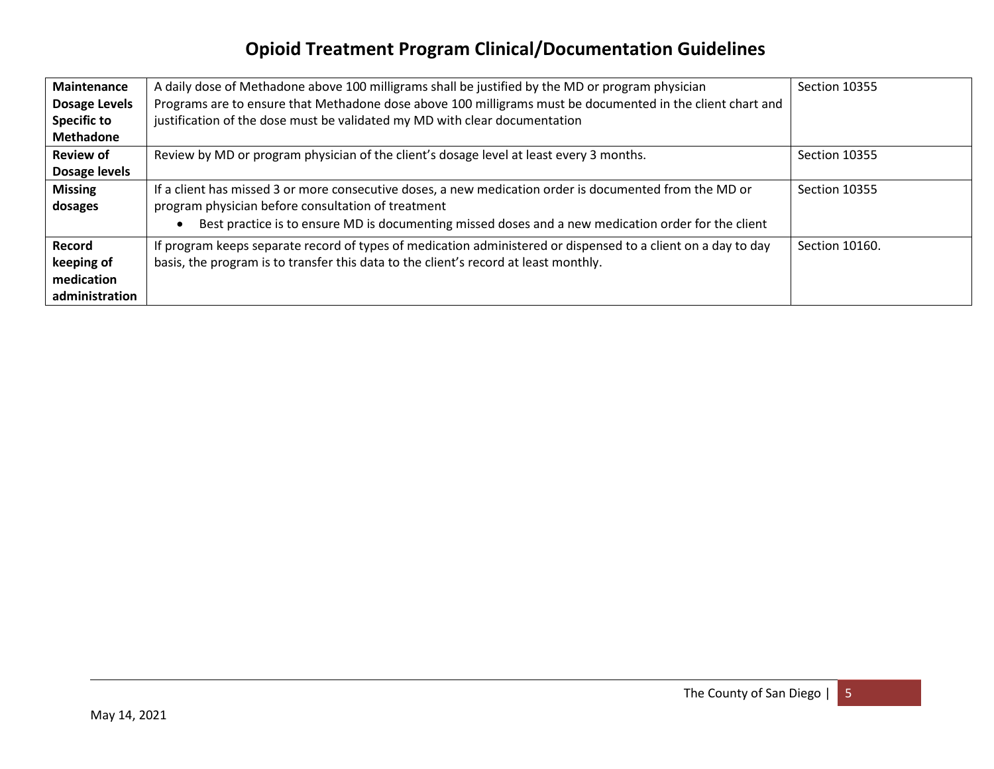| <b>Maintenance</b><br>Dosage Levels                         | A daily dose of Methadone above 100 milligrams shall be justified by the MD or program physician<br>Programs are to ensure that Methadone dose above 100 milligrams must be documented in the client chart and                                                       | Section 10355  |
|-------------------------------------------------------------|----------------------------------------------------------------------------------------------------------------------------------------------------------------------------------------------------------------------------------------------------------------------|----------------|
| <b>Specific to</b><br><b>Methadone</b>                      | justification of the dose must be validated my MD with clear documentation                                                                                                                                                                                           |                |
| <b>Review of</b><br>Dosage levels                           | Review by MD or program physician of the client's dosage level at least every 3 months.                                                                                                                                                                              | Section 10355  |
| <b>Missing</b><br>dosages                                   | If a client has missed 3 or more consecutive doses, a new medication order is documented from the MD or<br>program physician before consultation of treatment<br>Best practice is to ensure MD is documenting missed doses and a new medication order for the client | Section 10355  |
| <b>Record</b><br>keeping of<br>medication<br>administration | If program keeps separate record of types of medication administered or dispensed to a client on a day to day<br>basis, the program is to transfer this data to the client's record at least monthly.                                                                | Section 10160. |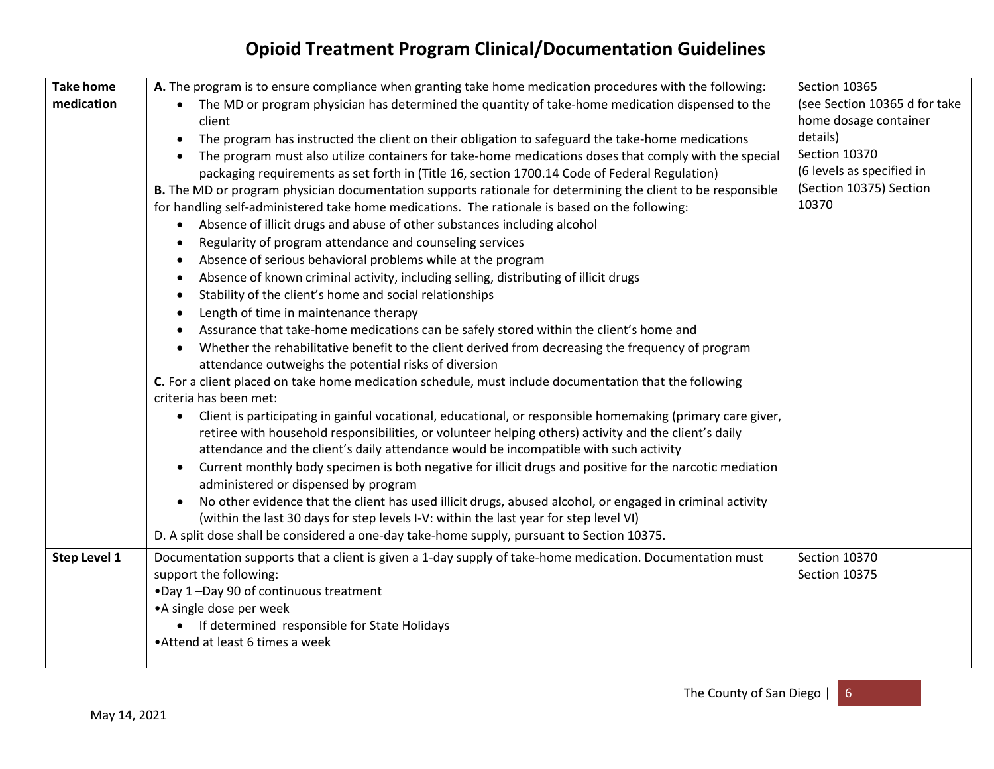| <b>Take home</b> | A. The program is to ensure compliance when granting take home medication procedures with the following:                | Section 10365                 |
|------------------|-------------------------------------------------------------------------------------------------------------------------|-------------------------------|
| medication       | The MD or program physician has determined the quantity of take-home medication dispensed to the<br>$\bullet$           | (see Section 10365 d for take |
|                  | client                                                                                                                  | home dosage container         |
|                  | The program has instructed the client on their obligation to safeguard the take-home medications<br>$\bullet$           | details)                      |
|                  | The program must also utilize containers for take-home medications doses that comply with the special                   | Section 10370                 |
|                  | packaging requirements as set forth in (Title 16, section 1700.14 Code of Federal Regulation)                           | (6 levels as specified in     |
|                  | B. The MD or program physician documentation supports rationale for determining the client to be responsible            | (Section 10375) Section       |
|                  | for handling self-administered take home medications. The rationale is based on the following:                          | 10370                         |
|                  | Absence of illicit drugs and abuse of other substances including alcohol<br>$\bullet$                                   |                               |
|                  | Regularity of program attendance and counseling services<br>$\bullet$                                                   |                               |
|                  | Absence of serious behavioral problems while at the program<br>$\bullet$                                                |                               |
|                  | Absence of known criminal activity, including selling, distributing of illicit drugs<br>$\bullet$                       |                               |
|                  | Stability of the client's home and social relationships                                                                 |                               |
|                  | Length of time in maintenance therapy<br>$\bullet$                                                                      |                               |
|                  | Assurance that take-home medications can be safely stored within the client's home and                                  |                               |
|                  | Whether the rehabilitative benefit to the client derived from decreasing the frequency of program<br>$\bullet$          |                               |
|                  | attendance outweighs the potential risks of diversion                                                                   |                               |
|                  | C. For a client placed on take home medication schedule, must include documentation that the following                  |                               |
|                  | criteria has been met:                                                                                                  |                               |
|                  | Client is participating in gainful vocational, educational, or responsible homemaking (primary care giver,<br>$\bullet$ |                               |
|                  | retiree with household responsibilities, or volunteer helping others) activity and the client's daily                   |                               |
|                  | attendance and the client's daily attendance would be incompatible with such activity                                   |                               |
|                  | Current monthly body specimen is both negative for illicit drugs and positive for the narcotic mediation<br>$\bullet$   |                               |
|                  | administered or dispensed by program                                                                                    |                               |
|                  | No other evidence that the client has used illicit drugs, abused alcohol, or engaged in criminal activity<br>$\bullet$  |                               |
|                  | (within the last 30 days for step levels I-V: within the last year for step level VI)                                   |                               |
|                  | D. A split dose shall be considered a one-day take-home supply, pursuant to Section 10375.                              |                               |
| Step Level 1     | Documentation supports that a client is given a 1-day supply of take-home medication. Documentation must                | Section 10370                 |
|                  | support the following:                                                                                                  | Section 10375                 |
|                  | .Day 1-Day 90 of continuous treatment                                                                                   |                               |
|                  | • A single dose per week                                                                                                |                               |
|                  | • If determined responsible for State Holidays                                                                          |                               |
|                  | • Attend at least 6 times a week                                                                                        |                               |
|                  |                                                                                                                         |                               |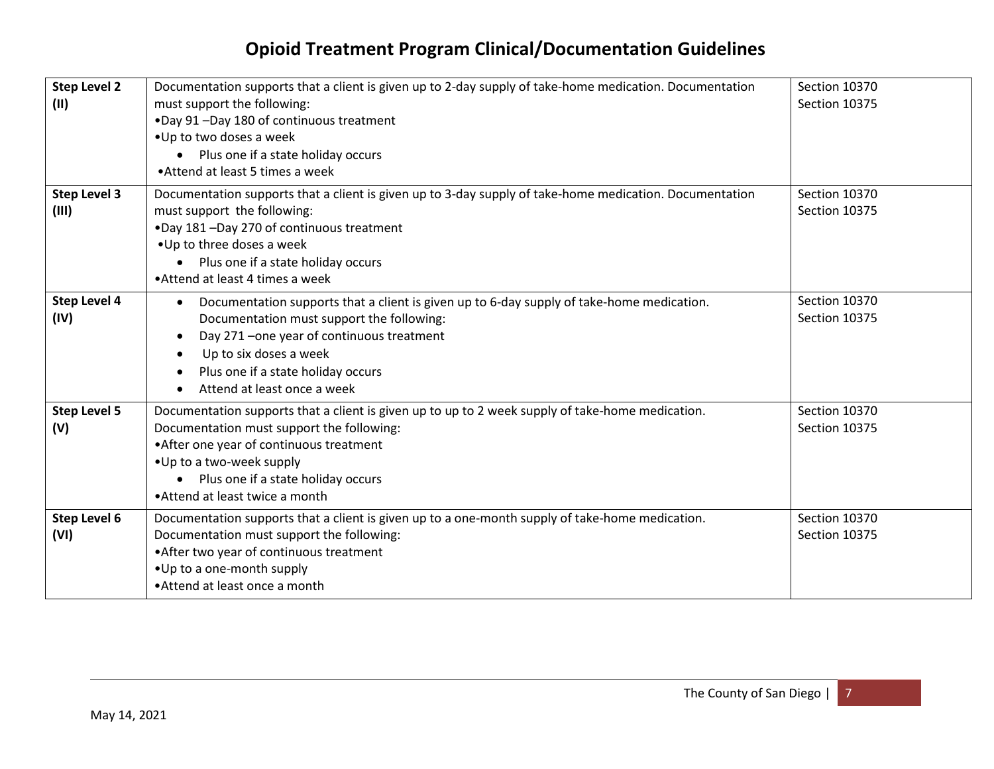| <b>Step Level 2</b><br>(11)  | Documentation supports that a client is given up to 2-day supply of take-home medication. Documentation<br>must support the following:<br>.Day 91-Day 180 of continuous treatment<br>• Up to two doses a week<br>• Plus one if a state holiday occurs<br>• Attend at least 5 times a week                     | Section 10370<br>Section 10375 |
|------------------------------|---------------------------------------------------------------------------------------------------------------------------------------------------------------------------------------------------------------------------------------------------------------------------------------------------------------|--------------------------------|
| <b>Step Level 3</b><br>(III) | Documentation supports that a client is given up to 3-day supply of take-home medication. Documentation<br>must support the following:<br>.Day 181-Day 270 of continuous treatment<br>• Up to three doses a week<br>Plus one if a state holiday occurs<br>$\bullet$<br>• Attend at least 4 times a week       | Section 10370<br>Section 10375 |
| <b>Step Level 4</b><br>(IV)  | Documentation supports that a client is given up to 6-day supply of take-home medication.<br>$\bullet$<br>Documentation must support the following:<br>Day 271 - one year of continuous treatment<br>$\bullet$<br>Up to six doses a week<br>Plus one if a state holiday occurs<br>Attend at least once a week | Section 10370<br>Section 10375 |
| <b>Step Level 5</b><br>(V)   | Documentation supports that a client is given up to up to 2 week supply of take-home medication.<br>Documentation must support the following:<br>• After one year of continuous treatment<br>• Up to a two-week supply<br>• Plus one if a state holiday occurs<br>• Attend at least twice a month             | Section 10370<br>Section 10375 |
| Step Level 6<br>(VI)         | Documentation supports that a client is given up to a one-month supply of take-home medication.<br>Documentation must support the following:<br>• After two year of continuous treatment<br>• Up to a one-month supply<br>• Attend at least once a month                                                      | Section 10370<br>Section 10375 |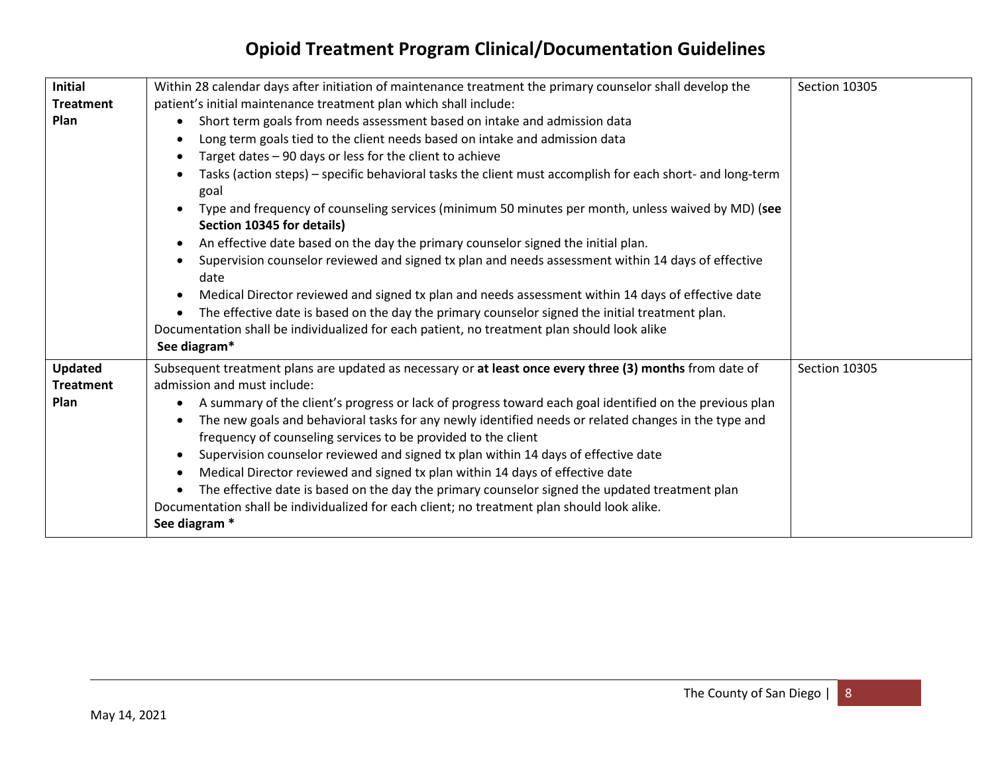| <b>Initial</b>   | Within 28 calendar days after initiation of maintenance treatment the primary counselor shall develop the                                                             | Section 10305 |
|------------------|-----------------------------------------------------------------------------------------------------------------------------------------------------------------------|---------------|
| <b>Treatment</b> | patient's initial maintenance treatment plan which shall include:                                                                                                     |               |
| Plan             | Short term goals from needs assessment based on intake and admission data<br>$\bullet$                                                                                |               |
|                  | Long term goals tied to the client needs based on intake and admission data                                                                                           |               |
|                  | Target dates - 90 days or less for the client to achieve                                                                                                              |               |
|                  | Tasks (action steps) - specific behavioral tasks the client must accomplish for each short- and long-term<br>goal                                                     |               |
|                  | Type and frequency of counseling services (minimum 50 minutes per month, unless waived by MD) (see<br>$\bullet$<br>Section 10345 for details)                         |               |
|                  | An effective date based on the day the primary counselor signed the initial plan.<br>$\bullet$                                                                        |               |
|                  | Supervision counselor reviewed and signed tx plan and needs assessment within 14 days of effective<br>date                                                            |               |
|                  | Medical Director reviewed and signed tx plan and needs assessment within 14 days of effective date                                                                    |               |
|                  | The effective date is based on the day the primary counselor signed the initial treatment plan.<br>$\bullet$                                                          |               |
|                  | Documentation shall be individualized for each patient, no treatment plan should look alike                                                                           |               |
|                  | See diagram*                                                                                                                                                          |               |
| <b>Updated</b>   | Subsequent treatment plans are updated as necessary or at least once every three (3) months from date of                                                              | Section 10305 |
| <b>Treatment</b> | admission and must include:                                                                                                                                           |               |
| Plan             | A summary of the client's progress or lack of progress toward each goal identified on the previous plan                                                               |               |
|                  | The new goals and behavioral tasks for any newly identified needs or related changes in the type and<br>frequency of counseling services to be provided to the client |               |
|                  | Supervision counselor reviewed and signed tx plan within 14 days of effective date<br>$\bullet$                                                                       |               |
|                  | Medical Director reviewed and signed tx plan within 14 days of effective date                                                                                         |               |
|                  | The effective date is based on the day the primary counselor signed the updated treatment plan                                                                        |               |
|                  | Documentation shall be individualized for each client; no treatment plan should look alike.                                                                           |               |
|                  | See diagram *                                                                                                                                                         |               |
|                  |                                                                                                                                                                       |               |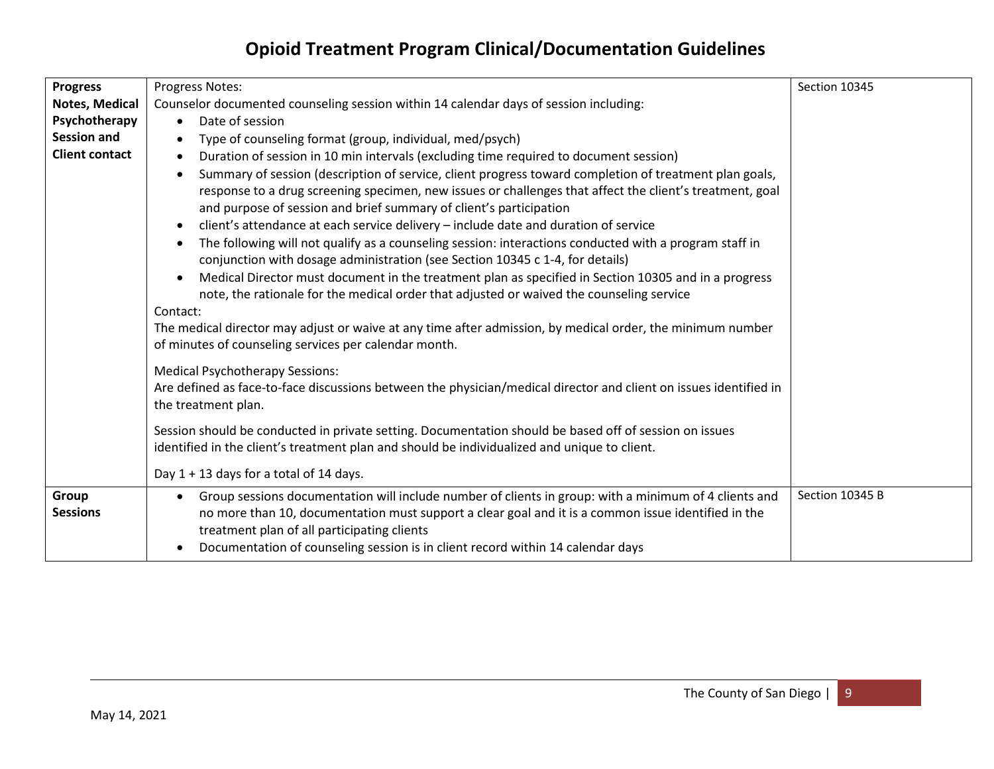| <b>Progress</b>       | Progress Notes:                                                                                                                                                                         | Section 10345   |
|-----------------------|-----------------------------------------------------------------------------------------------------------------------------------------------------------------------------------------|-----------------|
| Notes, Medical        | Counselor documented counseling session within 14 calendar days of session including:                                                                                                   |                 |
| Psychotherapy         | Date of session<br>$\bullet$                                                                                                                                                            |                 |
| <b>Session and</b>    | Type of counseling format (group, individual, med/psych)                                                                                                                                |                 |
| <b>Client contact</b> | Duration of session in 10 min intervals (excluding time required to document session)<br>$\bullet$                                                                                      |                 |
|                       | Summary of session (description of service, client progress toward completion of treatment plan goals,<br>$\bullet$                                                                     |                 |
|                       | response to a drug screening specimen, new issues or challenges that affect the client's treatment, goal                                                                                |                 |
|                       | and purpose of session and brief summary of client's participation                                                                                                                      |                 |
|                       | client's attendance at each service delivery - include date and duration of service<br>$\bullet$                                                                                        |                 |
|                       | The following will not qualify as a counseling session: interactions conducted with a program staff in<br>conjunction with dosage administration (see Section 10345 c 1-4, for details) |                 |
|                       | Medical Director must document in the treatment plan as specified in Section 10305 and in a progress<br>$\bullet$                                                                       |                 |
|                       | note, the rationale for the medical order that adjusted or waived the counseling service                                                                                                |                 |
|                       | Contact:                                                                                                                                                                                |                 |
|                       | The medical director may adjust or waive at any time after admission, by medical order, the minimum number                                                                              |                 |
|                       | of minutes of counseling services per calendar month.                                                                                                                                   |                 |
|                       | <b>Medical Psychotherapy Sessions:</b>                                                                                                                                                  |                 |
|                       | Are defined as face-to-face discussions between the physician/medical director and client on issues identified in                                                                       |                 |
|                       | the treatment plan.                                                                                                                                                                     |                 |
|                       | Session should be conducted in private setting. Documentation should be based off of session on issues                                                                                  |                 |
|                       | identified in the client's treatment plan and should be individualized and unique to client.                                                                                            |                 |
|                       |                                                                                                                                                                                         |                 |
|                       | Day 1 + 13 days for a total of 14 days.                                                                                                                                                 |                 |
| Group                 | Group sessions documentation will include number of clients in group: with a minimum of 4 clients and                                                                                   | Section 10345 B |
| <b>Sessions</b>       | no more than 10, documentation must support a clear goal and it is a common issue identified in the                                                                                     |                 |
|                       | treatment plan of all participating clients                                                                                                                                             |                 |
|                       | Documentation of counseling session is in client record within 14 calendar days                                                                                                         |                 |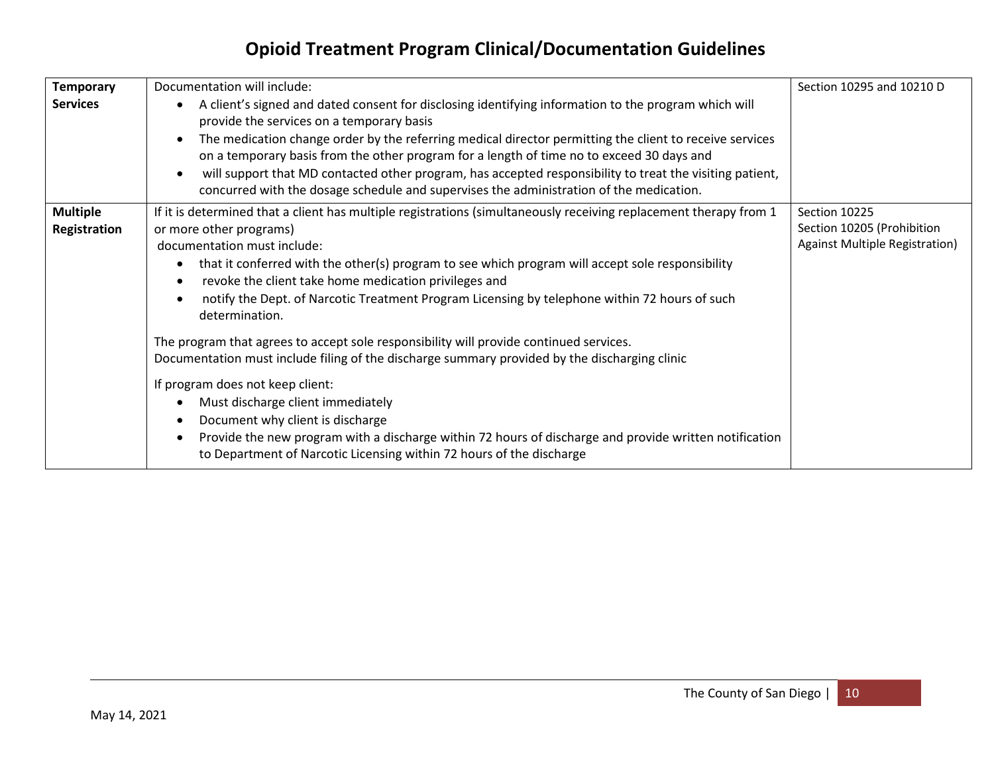| <b>Temporary</b><br><b>Services</b> | Documentation will include:<br>A client's signed and dated consent for disclosing identifying information to the program which will<br>provide the services on a temporary basis<br>The medication change order by the referring medical director permitting the client to receive services<br>on a temporary basis from the other program for a length of time no to exceed 30 days and<br>will support that MD contacted other program, has accepted responsibility to treat the visiting patient,<br>concurred with the dosage schedule and supervises the administration of the medication. | Section 10295 and 10210 D                                                            |
|-------------------------------------|-------------------------------------------------------------------------------------------------------------------------------------------------------------------------------------------------------------------------------------------------------------------------------------------------------------------------------------------------------------------------------------------------------------------------------------------------------------------------------------------------------------------------------------------------------------------------------------------------|--------------------------------------------------------------------------------------|
| <b>Multiple</b><br>Registration     | If it is determined that a client has multiple registrations (simultaneously receiving replacement therapy from 1<br>or more other programs)<br>documentation must include:<br>that it conferred with the other(s) program to see which program will accept sole responsibility<br>revoke the client take home medication privileges and<br>notify the Dept. of Narcotic Treatment Program Licensing by telephone within 72 hours of such<br>determination.                                                                                                                                     | Section 10225<br>Section 10205 (Prohibition<br><b>Against Multiple Registration)</b> |
|                                     | The program that agrees to accept sole responsibility will provide continued services.<br>Documentation must include filing of the discharge summary provided by the discharging clinic<br>If program does not keep client:<br>Must discharge client immediately<br>Document why client is discharge<br>Provide the new program with a discharge within 72 hours of discharge and provide written notification<br>to Department of Narcotic Licensing within 72 hours of the discharge                                                                                                          |                                                                                      |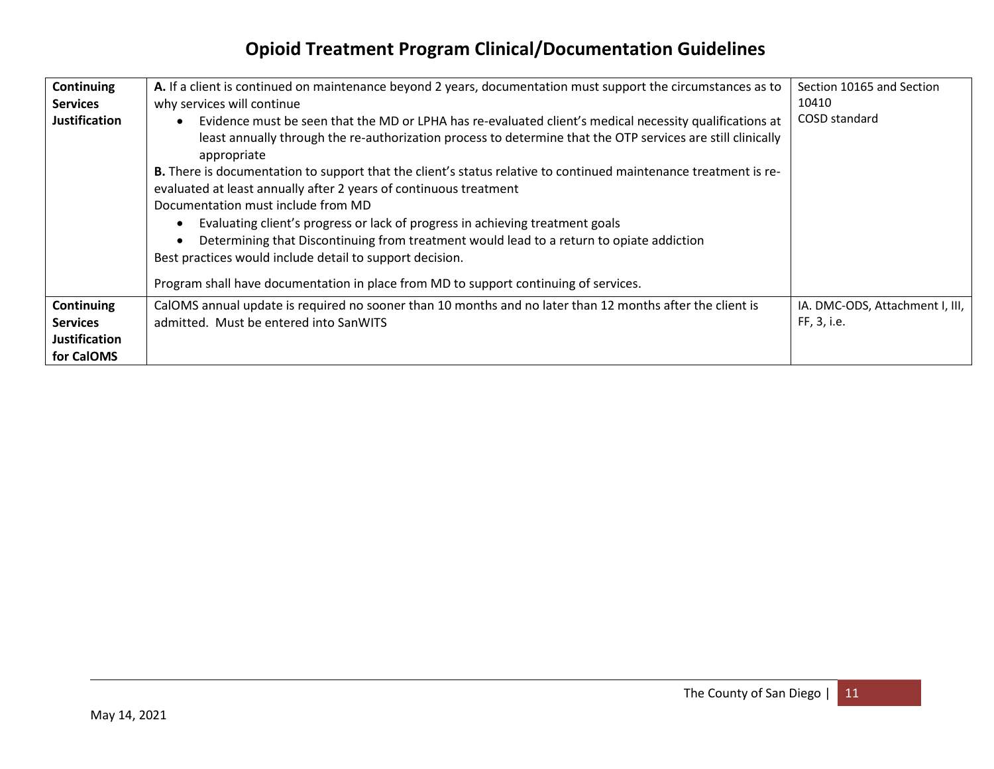| Continuing                                                                 | A. If a client is continued on maintenance beyond 2 years, documentation must support the circumstances as to                                                                                                                                                                                                                                                                                                                            | Section 10165 and Section                      |
|----------------------------------------------------------------------------|------------------------------------------------------------------------------------------------------------------------------------------------------------------------------------------------------------------------------------------------------------------------------------------------------------------------------------------------------------------------------------------------------------------------------------------|------------------------------------------------|
| <b>Services</b>                                                            | why services will continue                                                                                                                                                                                                                                                                                                                                                                                                               | 10410                                          |
| <b>Justification</b>                                                       | Evidence must be seen that the MD or LPHA has re-evaluated client's medical necessity qualifications at<br>least annually through the re-authorization process to determine that the OTP services are still clinically<br>appropriate<br><b>B.</b> There is documentation to support that the client's status relative to continued maintenance treatment is re-                                                                         | COSD standard                                  |
|                                                                            | evaluated at least annually after 2 years of continuous treatment<br>Documentation must include from MD<br>Evaluating client's progress or lack of progress in achieving treatment goals<br>Determining that Discontinuing from treatment would lead to a return to opiate addiction<br>Best practices would include detail to support decision.<br>Program shall have documentation in place from MD to support continuing of services. |                                                |
| <b>Continuing</b><br><b>Services</b><br><b>Justification</b><br>for CalOMS | CalOMS annual update is required no sooner than 10 months and no later than 12 months after the client is<br>admitted. Must be entered into SanWITS                                                                                                                                                                                                                                                                                      | IA. DMC-ODS, Attachment I, III,<br>FF, 3, i.e. |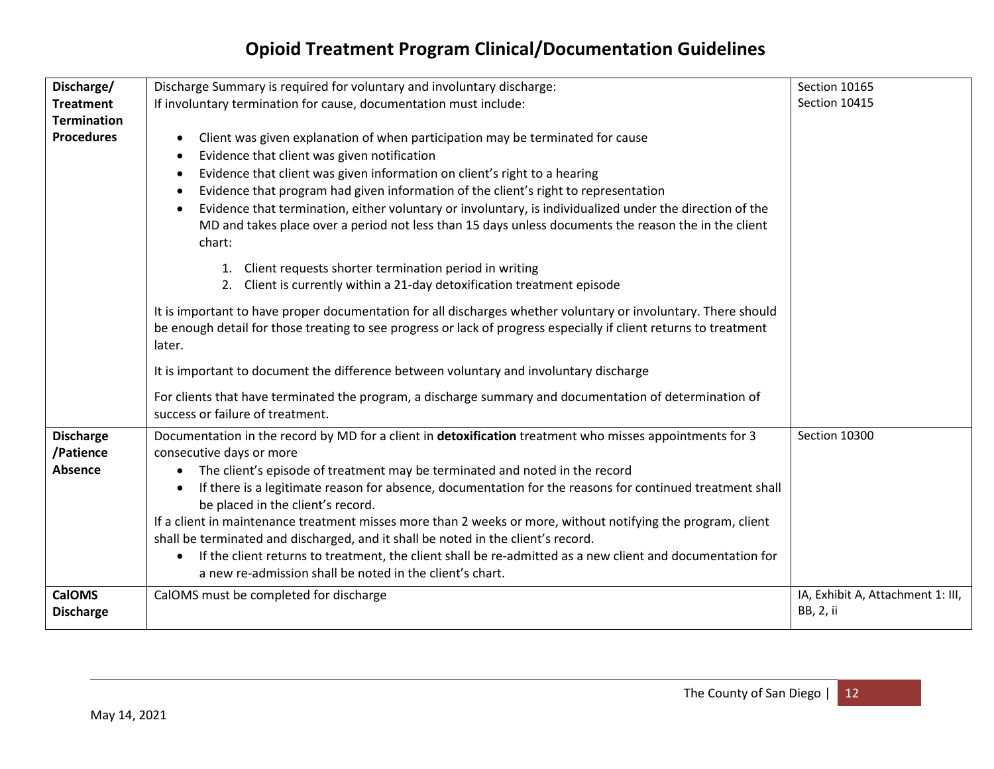| Discharge/         | Discharge Summary is required for voluntary and involuntary discharge:                                            | Section 10165                     |
|--------------------|-------------------------------------------------------------------------------------------------------------------|-----------------------------------|
| <b>Treatment</b>   | If involuntary termination for cause, documentation must include:                                                 | Section 10415                     |
| <b>Termination</b> |                                                                                                                   |                                   |
| <b>Procedures</b>  | Client was given explanation of when participation may be terminated for cause                                    |                                   |
|                    | Evidence that client was given notification<br>$\bullet$                                                          |                                   |
|                    | Evidence that client was given information on client's right to a hearing                                         |                                   |
|                    | Evidence that program had given information of the client's right to representation                               |                                   |
|                    | Evidence that termination, either voluntary or involuntary, is individualized under the direction of the          |                                   |
|                    | MD and takes place over a period not less than 15 days unless documents the reason the in the client<br>chart:    |                                   |
|                    |                                                                                                                   |                                   |
|                    | 1. Client requests shorter termination period in writing                                                          |                                   |
|                    | 2. Client is currently within a 21-day detoxification treatment episode                                           |                                   |
|                    | It is important to have proper documentation for all discharges whether voluntary or involuntary. There should    |                                   |
|                    | be enough detail for those treating to see progress or lack of progress especially if client returns to treatment |                                   |
|                    | later.                                                                                                            |                                   |
|                    | It is important to document the difference between voluntary and involuntary discharge                            |                                   |
|                    | For clients that have terminated the program, a discharge summary and documentation of determination of           |                                   |
|                    | success or failure of treatment.                                                                                  |                                   |
| <b>Discharge</b>   | Documentation in the record by MD for a client in detoxification treatment who misses appointments for 3          | Section 10300                     |
| /Patience          | consecutive days or more                                                                                          |                                   |
| <b>Absence</b>     | The client's episode of treatment may be terminated and noted in the record                                       |                                   |
|                    | If there is a legitimate reason for absence, documentation for the reasons for continued treatment shall          |                                   |
|                    | be placed in the client's record.                                                                                 |                                   |
|                    | If a client in maintenance treatment misses more than 2 weeks or more, without notifying the program, client      |                                   |
|                    | shall be terminated and discharged, and it shall be noted in the client's record.                                 |                                   |
|                    | If the client returns to treatment, the client shall be re-admitted as a new client and documentation for         |                                   |
|                    | a new re-admission shall be noted in the client's chart.                                                          |                                   |
| <b>CalOMS</b>      | CalOMS must be completed for discharge                                                                            | IA, Exhibit A, Attachment 1: III, |
| <b>Discharge</b>   |                                                                                                                   | BB, 2, ii                         |
|                    |                                                                                                                   |                                   |